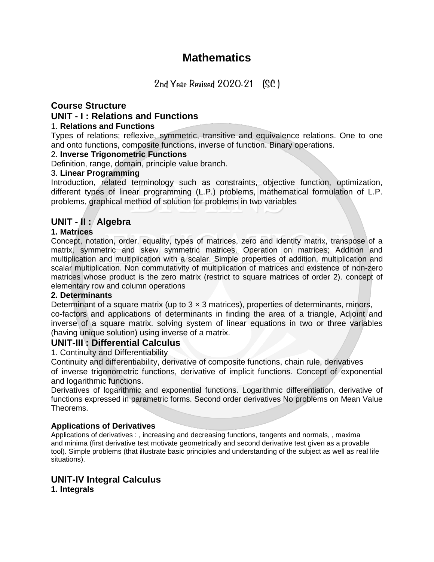## **Mathematics**

2nd Year Revised 2020-21 (SC )

### **Course Structure**

#### **UNIT - I : Relations and Functions**

#### 1. **Relations and Functions**

Types of relations; reflexive, symmetric, transitive and equivalence relations. One to one and onto functions, composite functions, inverse of function. Binary operations.

#### 2. **Inverse Trigonometric Functions**

Definition, range, domain, principle value branch.

#### 3. **Linear Programming**

Introduction, related terminology such as constraints, objective function, optimization, different types of linear programming (L.P.) problems, mathematical formulation of L.P. problems, graphical method of solution for problems in two variables

## **UNIT - II : Algebra**

#### **1. Matrices**

Concept, notation, order, equality, types of matrices, zero and identity matrix, transpose of a matrix, symmetric and skew symmetric matrices. Operation on matrices; Addition and multiplication and multiplication with a scalar. Simple properties of addition, multiplication and scalar multiplication. Non commutativity of multiplication of matrices and existence of non-zero matrices whose product is the zero matrix (restrict to square matrices of order 2). concept of elementary row and column operations

#### **2. Determinants**

Determinant of a square matrix (up to  $3 \times 3$  matrices), properties of determinants, minors, co-factors and applications of determinants in finding the area of a triangle, Adjoint and inverse of a square matrix. solving system of linear equations in two or three variables (having unique solution) using inverse of a matrix.

#### **UNIT-III : Differential Calculus**

1. Continuity and Differentiability

Continuity and differentiability, derivative of composite functions, chain rule, derivatives of inverse trigonometric functions, derivative of implicit functions. Concept of exponential and logarithmic functions.

Derivatives of logarithmic and exponential functions. Logarithmic differentiation, derivative of functions expressed in parametric forms. Second order derivatives No problems on Mean Value Theorems.

#### **Applications of Derivatives**

Applications of derivatives : , increasing and decreasing functions, tangents and normals, , maxima and minima (first derivative test motivate geometrically and second derivative test given as a provable tool). Simple problems (that illustrate basic principles and understanding of the subject as well as real life situations).

# **UNIT-IV Integral Calculus**

**1. Integrals**